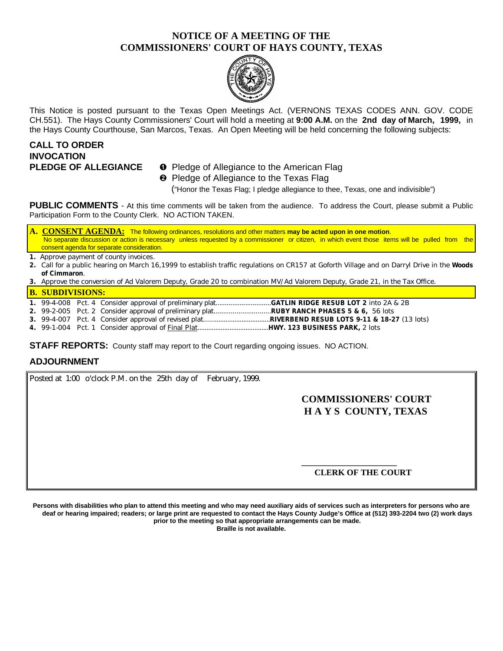## **NOTICE OF A MEETING OF THE COMMISSIONERS' COURT OF HAYS COUNTY, TEXAS**



This Notice is posted pursuant to the Texas Open Meetings Act. (VERNONS TEXAS CODES ANN. GOV. CODE CH.551). The Hays County Commissioners' Court will hold a meeting at **9:00 A.M.** on the **2nd day of March, 1999,** in the Hays County Courthouse, San Marcos, Texas. An Open Meeting will be held concerning the following subjects:

# **CALL TO ORDER INVOCATION**

- **PLEDGE OF ALLEGIANCE O** Pledge of Allegiance to the American Flag
	- **<sup>2</sup>** Pledge of Allegiance to the Texas Flag

("Honor the Texas Flag; I pledge allegiance to thee, Texas, one and indivisible")

**PUBLIC COMMENTS** - At this time comments will be taken from the audience. To address the Court, please submit a Public Participation Form to the County Clerk. NO ACTION TAKEN.

**A. CONSENT AGENDA:** The following ordinances, resolutions and other matters **may be acted upon in one motion**. No separate discussion or action is necessary unless requested by a commissioner or citizen, in which event those items will be pulled from the consent agenda for separate consideration.

**1.** Approve payment of county invoices.

**2.** Call for a public hearing on March 16,1999 to establish traffic regulations on CR157 at Goforth Village and on Darryl Drive in the **Woods of Cimmaron**.

**3.** Approve the conversion of Ad Valorem Deputy, Grade 20 to combination MV/Ad Valorem Deputy, Grade 21, in the Tax Office.

#### **B. SUBDIVISIONS:**

- **1.** 99-4-008 Pct. 4 Consider approval of preliminary plat..............................**GATLIN RIDGE RESUB LOT 2** into 2A & 2B
- **2.** 99-2-005 Pct. 2 Consider approval of preliminary plat..............................**RUBY RANCH PHASES 5 & 6,** 56 lots
- **3.** 99-4-007 Pct. 4 Consider approval of revised plat.....................................**RIVERBEND RESUB LOTS 9-11 & 18-27** (13 lots)
- **4.** 99-1-004 Pct. 1 Consider approval of Final Plat........................................**HWY. 123 BUSINESS PARK,** 2 lots

**STAFF REPORTS:** County staff may report to the Court regarding ongoing issues. NO ACTION.

## **ADJOURNMENT**

Posted at 1:00 o'clock P.M. on the 25th day of February, 1999.

## **COMMISSIONERS' COURT H A Y S COUNTY, TEXAS**

## **CLERK OF THE COURT**

**\_\_\_\_\_\_\_\_\_\_\_\_\_\_\_\_\_\_\_\_\_\_**

**Persons with disabilities who plan to attend this meeting and who may need auxiliary aids of services such as interpreters for persons who are deaf or hearing impaired; readers; or large print are requested to contact the Hays County Judge's Office at (512) 393-2204 two (2) work days prior to the meeting so that appropriate arrangements can be made.**

**Braille is not available.**